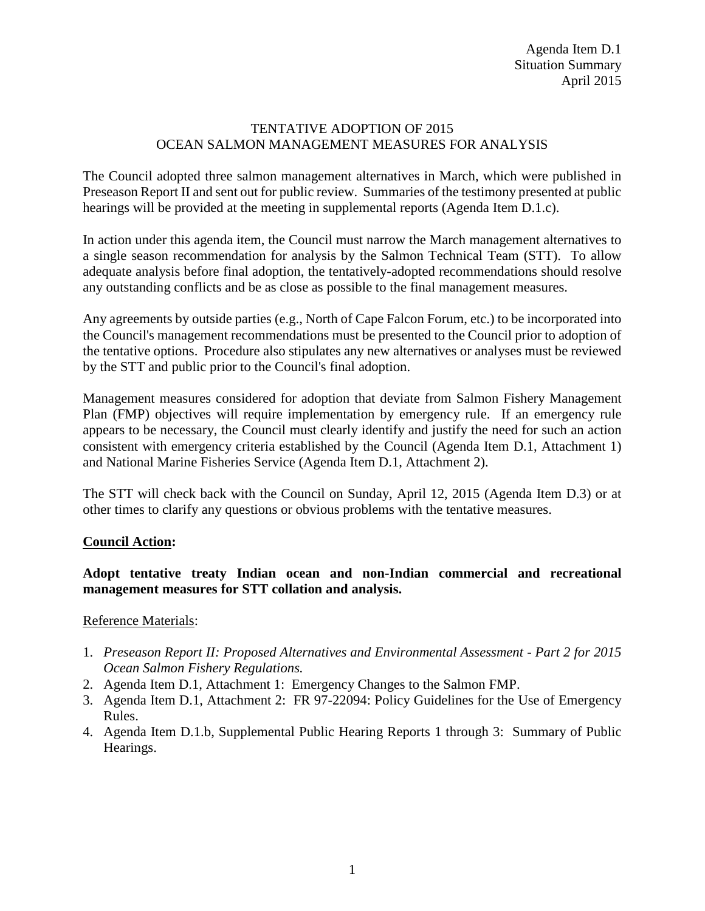### TENTATIVE ADOPTION OF 2015 OCEAN SALMON MANAGEMENT MEASURES FOR ANALYSIS

The Council adopted three salmon management alternatives in March, which were published in Preseason Report II and sent out for public review. Summaries of the testimony presented at public hearings will be provided at the meeting in supplemental reports (Agenda Item D.1.c).

In action under this agenda item, the Council must narrow the March management alternatives to a single season recommendation for analysis by the Salmon Technical Team (STT). To allow adequate analysis before final adoption, the tentatively-adopted recommendations should resolve any outstanding conflicts and be as close as possible to the final management measures.

Any agreements by outside parties (e.g., North of Cape Falcon Forum, etc.) to be incorporated into the Council's management recommendations must be presented to the Council prior to adoption of the tentative options. Procedure also stipulates any new alternatives or analyses must be reviewed by the STT and public prior to the Council's final adoption.

Management measures considered for adoption that deviate from Salmon Fishery Management Plan (FMP) objectives will require implementation by emergency rule. If an emergency rule appears to be necessary, the Council must clearly identify and justify the need for such an action consistent with emergency criteria established by the Council (Agenda Item D.1, Attachment 1) and National Marine Fisheries Service (Agenda Item D.1, Attachment 2).

The STT will check back with the Council on Sunday, April 12, 2015 (Agenda Item D.3) or at other times to clarify any questions or obvious problems with the tentative measures.

# **Council Action:**

# **Adopt tentative treaty Indian ocean and non-Indian commercial and recreational management measures for STT collation and analysis.**

#### Reference Materials:

- 1. *Preseason Report II: Proposed Alternatives and Environmental Assessment - Part 2 for 2015 Ocean Salmon Fishery Regulations.*
- 2. Agenda Item D.1, Attachment 1: Emergency Changes to the Salmon FMP.
- 3. Agenda Item D.1, Attachment 2: FR 97-22094: Policy Guidelines for the Use of Emergency Rules.
- 4. Agenda Item D.1.b, Supplemental Public Hearing Reports 1 through 3: Summary of Public Hearings.